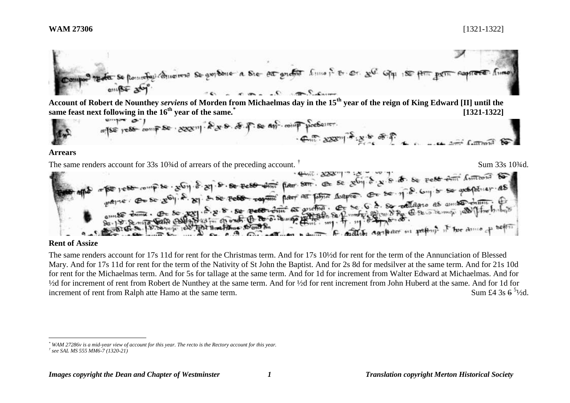**Account of Robert de Nounthey** *serviens* **of Morden from Michaelmas day in the 15th year of the reign of King Edward [II] until the same feast next following in the 16th year of the same.\* [1321-1322]**

$$
4\pi
$$
 = 150°  $1000$  cm per year of 2000 cm<sup>2</sup>. 2000 cm<sup>2</sup>. 200 cm<sup>2</sup> cm<sup>2</sup>. 2000 cm<sup>2</sup> cm<sup>2</sup>.

#### **Arrears**

The same renders account for 33s 10%d of arrears of the preceding account. "Sum 33s 10<br>
The same render own is a complete set of  $\frac{1}{2}$ . So the rest dimensional form is the rest dimensional form of the preceding account Sum 33s 103/4d F. mather agatherer in pathing it has donne of  $\mathbf{a}$   $\mathbf{b}$  and  $\mathbf{b}$  and  $\mathbf{c}$ 

# **Rent of Assize**

 $\overline{a}$ 

The same renders account for 17s 11d for rent for the Christmas term. And for 17s 10½d for rent for the term of the Annunciation of Blessed Mary. And for 17s 11d for rent for the term of the Nativity of St John the Baptist. And for 2s 8d for medsilver at the same term. And for 21s 10d for rent for the Michaelmas term. And for 5s for tallage at the same term. And for 1d for increment from Walter Edward at Michaelmas. And for ½d for increment of rent from Robert de Nunthey at the same term. And for ½d for rent increment from John Huberd at the same. And for 1d for increment of rent from Ralph atte Hamo at the same term. Sum £4 3s  $6^{51/2}$ d.

*<sup>\*</sup> WAM 27286v is a mid-year view of account for this year. The recto is the Rectory account for this year. † see SAL MS 555 MM6-7 (1320-21)*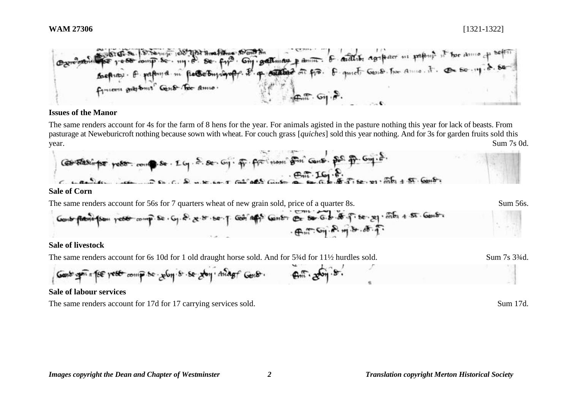

## **Issues of the Manor**

The same renders account for 4s for the farm of 8 hens for the year. For animals agisted in the pasture nothing this year for lack of beasts. From pasturage at Neweburicroft nothing because sown with wheat. For couch grass [*quiches*] sold this year nothing. And for 3s for garden fruits sold this year. Sum 7s 0d.



## **Sale of livestock**

The same renders account for 6s 10d for 1 old draught horse sold. And for 5¼d for 11½ hurdles sold. Sum 7s 3¼d.

**Genb:** 
$$
g = \frac{1}{2} \int_{0}^{\frac{\pi}{2}} \cos \theta \cos \theta \cos \theta
$$

## **Sale of labour services**

The same renders account for 17d for 17 carrying services sold. Sum 17d.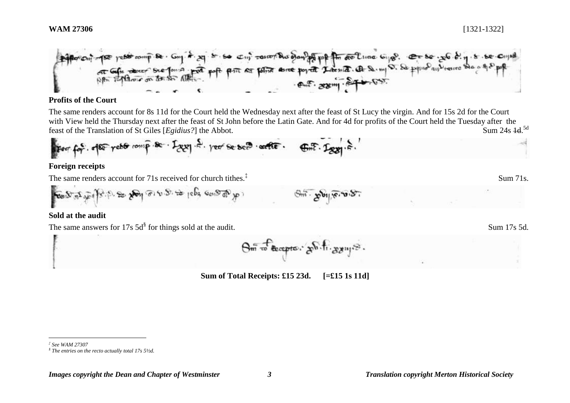

## **Profits of the Court**

The same renders account for 8s 11d for the Court held the Wednesday next after the feast of St Lucy the virgin. And for 15s 2d for the Court with View held the Thursday next after the feast of St John before the Latin Gate. And for 4d for profits of the Court held the Tuesday after the feast of the Translation of St Giles [*Egidius*?] the Abbot. Sum 24s 4d.<sup>5d</sup>

For 
$$
f \circ f
$$
.  $f \circ f$  are  $f \circ f$  or  $f$  are  $f \circ f$ .  $f \circ f$  are  $f \circ f$  and  $f$  are  $f$ .  $f$  are  $f$ .

## **Foreign receipts**

The same renders account for 71s received for church tithes.<sup>‡</sup>

$$
\cos 2\pi \sqrt{8} \int e^{2\pi \sqrt{8} \cdot \sqrt{8}} e^{2\pi \sqrt{8} \cdot \sqrt{8} \cdot \sqrt{8}} e^{2\pi \sqrt{8} \cdot \sqrt{8} \cdot \sqrt{8}} e^{2\pi \sqrt{8} \cdot \sqrt{8}} e^{2\pi \sqrt{8} \cdot \sqrt{8}} e^{2\pi \sqrt{8} \cdot \sqrt{8}} e^{2\pi \sqrt{8} \cdot \sqrt{8}} e^{2\pi \sqrt{8} \cdot \sqrt{8}} e^{2\pi \sqrt{8} \cdot \sqrt{8}} e^{2\pi \sqrt{8} \cdot \sqrt{8}} e^{2\pi \sqrt{8} \cdot \sqrt{8}} e^{2\pi \sqrt{8} \cdot \sqrt{8}} e^{2\pi \sqrt{8} \cdot \sqrt{8}} e^{2\pi \sqrt{8} \cdot \sqrt{8}} e^{2\pi \sqrt{8} \cdot \sqrt{8}} e^{2\pi \sqrt{8} \cdot \sqrt{8}} e^{2\pi \sqrt{8} \cdot \sqrt{8}} e^{2\pi \sqrt{8} \cdot \sqrt{8}} e^{2\pi \sqrt{8} \cdot \sqrt{8}} e^{2\pi \sqrt{8} \cdot \sqrt{8}} e^{2\pi \sqrt{8} \cdot \sqrt{8}} e^{2\pi \sqrt{8} \cdot \sqrt{8}} e^{2\pi \sqrt{8} \cdot \sqrt{8}} e^{2\pi \sqrt{8} \cdot \sqrt{8}} e^{2\pi \sqrt{8} \cdot \sqrt{8}} e^{2\pi \sqrt{8} \cdot \sqrt{8}} e^{2\pi \sqrt{8} \cdot \sqrt{8}} e^{2\pi \sqrt{8} \cdot \sqrt{8}} e^{2\pi \sqrt{8} \cdot \sqrt{8}} e^{2\pi \sqrt{8} \cdot \sqrt{8}} e^{2\pi \sqrt{8} \cdot \sqrt{8}} e^{2\pi \sqrt{8} \cdot \sqrt{8}} e^{2\pi \sqrt{8} \cdot \sqrt{8}} e^{2\pi \sqrt{8} \cdot \sqrt{8}} e^{2\pi \sqrt{8} \cdot \sqrt{8}} e^{2\pi \sqrt{8} \cdot \sqrt{8}} e^{2\pi \sqrt{8} \cdot \sqrt{8}} e^{2\pi \sqrt{8} \cdot \sqrt{8}} e^{2\pi \sqrt{8} \cdot \sqrt{8}} e^{2\pi \sqrt{8} \cdot \sqrt{8}} e^{2\pi \sqrt{8} \cdot \sqrt{8}} e^{2\pi \sqrt{8} \cdot \sqrt{8}} e^{2\pi \sqrt{8} \cdot \sqrt{8}} e^{
$$

# **Sold at the audit**

The same answers for 17s  $5d^{\$}$  for things sold at the audit. Sum 17s 5d.

 $\Theta$  as  $\mathcal{F}_{\text{decepto}}$ .  $\mathcal{F}_{\text{bc}}$   $\mathcal{F}_{\text{bc}}$   $\mathcal{F}_{\text{bc}}$ 

**Sum of Total Receipts: £15 23d. [=£15 1s 11d]**

Sum 71s.

 $\overline{a}$ *‡ See WAM 27307*

*<sup>§</sup> The entries on the recto actually total 17s 5½d.*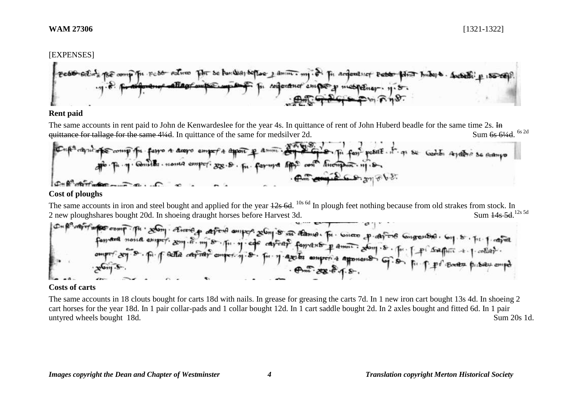#### [EXPENSES]



## **Rent paid**

The same accounts in rent paid to John de Kenwardeslee for the year 4s. In quittance of rent of John Huberd beadle for the same time 2s. In quittance for tallage for the same 4¼d. In quittance of the same for medsilver 2d. Sum 6s 61/4d 6s 2d



## **Cost of ploughs**

The same accounts in iron and steel bought and applied for the year  $12s$  6d. <sup>10s 6d</sup> In plough feet nothing because from old strakes from stock. In 2 new ploughshares bought 20d. In shoeing draught horses before Harvest 3d. Sum 14s 5d.<sup>12s 5d</sup>



# **Costs of carts**

The same accounts in 18 clouts bought for carts 18d with nails. In grease for greasing the carts 7d. In 1 new iron cart bought 13s 4d. In shoeing 2 cart horses for the year 18d. In 1 pair collar-pads and 1 collar bought 12d. In 1 cart saddle bought 2d. In 2 axles bought and fitted 6d. In 1 pair untyred wheels bought 18d. Sum 20s 1d.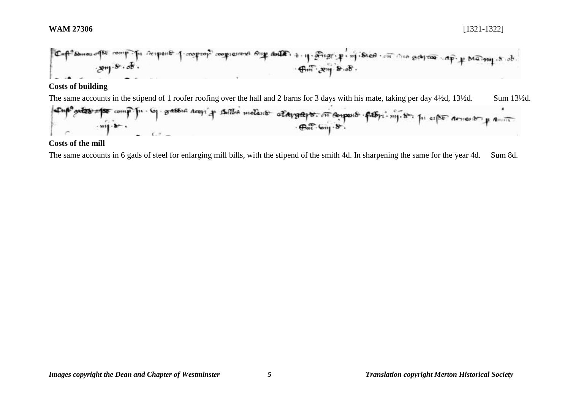# **WAM 27306** [1321-1322]



# **Costs of building**

The same accounts in the stipend of 1 roofer roofing over the hall and 2 barns for 3 days with his mate, taking per day 4½d, 13½d. Sum 13½d.



## **Costs of the mill**

The same accounts in 6 gads of steel for enlarging mill bills, with the stipend of the smith 4d. In sharpening the same for the year 4d. Sum 8d.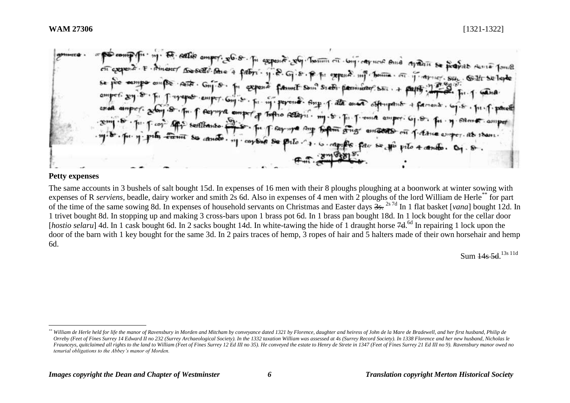expense. Not them on long capture and apartir se propert sense fould F. ht exposed un bonne Arior Sin. Gilt Selepte  $A$  regists farmit Som Stebs flexmuster Shi event . Ann Petern. cay bag Se

## **Petty expenses**

 $\overline{a}$ 

The same accounts in 3 bushels of salt bought 15d. In expenses of 16 men with their 8 ploughs ploughing at a boonwork at winter sowing with expenses of R *serviens*, beadle, dairy worker and smith 2s 6d. Also in expenses of 4 men with 2 ploughs of the lord William de Herle\*\* for part of the time of the same sowing 8d. In expenses of household servants on Christmas and Easter days 3s. 2s 7d In 1 flat basket [*vana*] bought 12d. In 1 trivet bought 8d. In stopping up and making 3 cross-bars upon 1 brass pot 6d. In 1 brass pan bought 18d. In 1 lock bought for the cellar door [hostio selaru] 4d. In 1 cask bought 6d. In 2 sacks bought 14d. In white-tawing the hide of 1 draught horse 7d.<sup>6d</sup> In repairing 1 lock upon the door of the barn with 1 key bought for the same 3d. In 2 pairs traces of hemp, 3 ropes of hair and 5 halters made of their own horsehair and hemp 6d.

Sum <del>14s 5d</del>.<sup>13s 11d</sup>

*<sup>\*\*</sup> William de Herle held for life the manor of Ravensbury in Morden and Mitcham by conveyance dated 1321 by Florence, daughter and heiress of John de la Mare de Bradewell, and her first husband, Philip de Orreby (Feet of Fines Surrey 14 Edward II no 232 (Surrey Archaeological Society). In the 1332 taxation William was assessed at 4s (Surrey Record Society). In 1338 Florence and her new husband, Nicholas le*  Fraunceys, quitclaimed all rights to the land to William (Feet of Fines Surrey 12 Ed III no 35). He conveyed the estate to Henry de Strete in 1347 (Feet of Fines Surrey 21 Ed III no 9). Ravensbury manor owed no *tenurial obligations to the Abbey's manor of Morden.*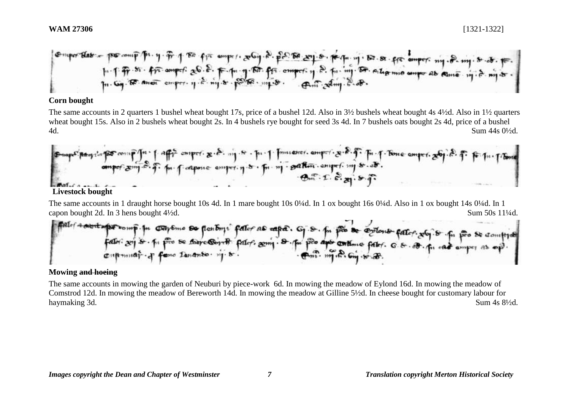

### **Corn bought**

The same accounts in 2 quarters 1 bushel wheat bought 17s, price of a bushel 12d. Also in 3½ bushels wheat bought 4s 4½d. Also in 1½ quarters wheat bought 15s. Also in 2 bushels wheat bought 2s. In 4 bushels rye bought for seed 3s 4d. In 7 bushels oats bought 2s 4d, price of a bushel 4d. Sum 44s 0½d.



The same accounts in 1 draught horse bought 10s 4d. In 1 mare bought 10s 0¼d. In 1 ox bought 16s 0¼d. Also in 1 ox bought 14s 0¼d. In 1 capon bought 2d. In 3 hens bought 4<sup>1</sup>/<sub>2</sub>d. Sum 50s 11<sup>1</sup>/<sub>4d</sub>.

# **Mowing and hoeing**

The same accounts in mowing the garden of Neuburi by piece-work 6d. In mowing the meadow of Eylond 16d. In mowing the meadow of Comstrod 12d. In mowing the meadow of Bereworth 14d. In mowing the meadow at Gilline 5½d. In cheese bought for customary labour for haymaking 3d. Sum 4s 8½d.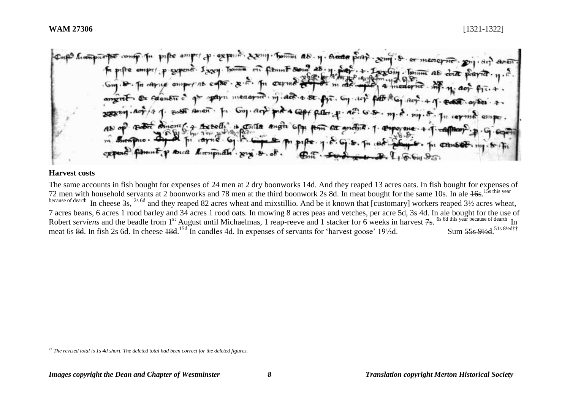Lives formul as . n. Ande  $m$  fabunt  $8cm^2$   $28$ come to in carne omp Canon En c IL HIRGAPIER  $ACF - 4.8C$  $A$ *ment<sub>4</sub>* **B** Conta angta 6 AD

#### **Harvest costs**

The same accounts in fish bought for expenses of 24 men at 2 dry boonworks 14d. And they reaped 13 acres oats. In fish bought for expenses of 72 men with household servants at 2 boonworks and 78 men at the third boonwork 2s 8d. In meat bought for the same 10s. In ale  $16s$ . <sup>15s this year</sup> because of dearth In cheese 3s, <sup>2s 6d</sup> and they reaped 82 acres wheat and mixstillio. And be it known that [customary] workers reaped 3½ acres wheat, 7 acres beans, 6 acres 1 rood barley and 34 acres 1 rood oats. In mowing 8 acres peas and vetches, per acre 5d, 3s 4d. In ale bought for the use of Robert *serviens* and the beadle from 1<sup>st</sup> August until Michaelmas, 1 reap-reeve and 1 stacker for 6 weeks in harvest 7s. <sup>6s 6d this year because of dearth</sup> In meat 6s 8d. In fish 2s 6d. In cheese 18d.<sup>15d</sup> In candles 4d. In expenses of servants for 'harvest goose' 19½d. Sum 55s 9½d.<sup>51s 8½d††</sup>

 $\overline{a}$ *†† The revised total is 1s 4d short. The deleted total had been correct for the deleted figures.*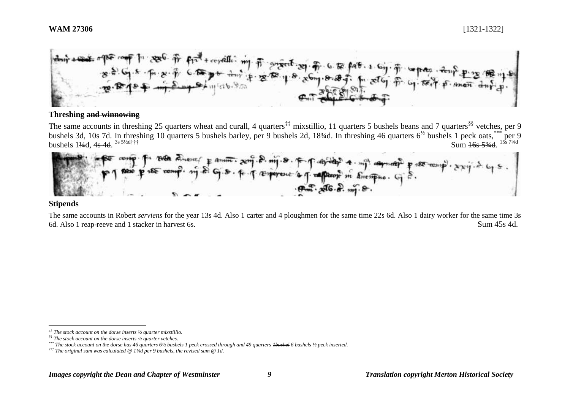

### **Threshing and winnowing**

The same accounts in threshing 25 quarters wheat and curall, 4 quarters<sup>‡‡</sup> mixstillio, 11 quarters 5 bushels beans and 7 quarters<sup>§§</sup> vetches, per 9 bushels 3d, 10s 7d. In threshing 10 quarters 5 bushels barley, per 9 bushels 2d, 18<sup>3</sup>/d. In threshing 46 quarters  $6^{1/2}$  bushels 1 peck oats,  $**$  per 9 bushels  $1\frac{4}{4}$ d,  $4s$  4d,  $3s$   $5\frac{1}{2}$ d†††  $\frac{3s}{5\frac{3}{4}}$  Sum  $\frac{16s}{5\frac{3}{4}}$ .  $\frac{15s}{7\frac{1}{4}}$ 



### **Stipends**

 $\overline{a}$ 

The same accounts in Robert *serviens* for the year 13s 4d. Also 1 carter and 4 ploughmen for the same time 22s 6d. Also 1 dairy worker for the same time 3s 6d. Also 1 reap-reeve and 1 stacker in harvest 6s. Sum 45s 4d.

*<sup>‡‡</sup> The stock account on the dorse inserts ½ quarter mixstillio.*

*<sup>§§</sup> The stock account on the dorse inserts ½ quarter vetches.*

*<sup>\*\*\*</sup> The stock account on the dorse has 46 quarters 6½ bushels 1 peck crossed through and 49 quarters 1bushel 6 bushels ½ peck inserted.*

*<sup>†††</sup> The original sum was calculated @ 1¼d per 9 bushels, the revised sum @ 1d.*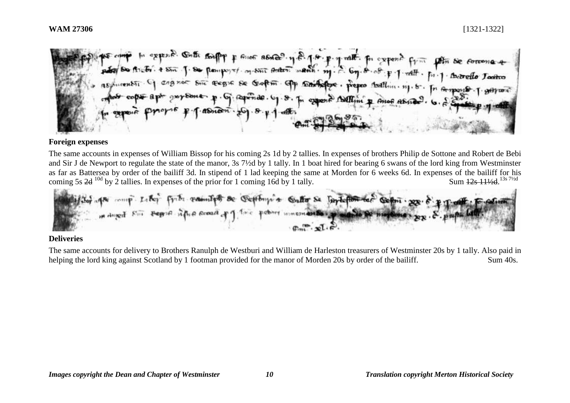In appears. Onthe souply & since as and n.g. 1.8 Win Se forcona J. Se prompost of suit Anton manh. m. S. <sup>rAlt</sup> · fu · 1 · Detrello Toxitro not Sinc regist Se Goftin Standard presso fortiling in In Grapes B-1. garant In expense Bellini & Ano asnon

## **Foreign expenses**

The same accounts in expenses of William Bissop for his coming 2s 1d by 2 tallies. In expenses of brothers Philip de Sottone and Robert de Bebi and Sir J de Newport to regulate the state of the manor, 3s 7½d by 1 tally. In 1 boat hired for bearing 6 swans of the lord king from Westminster as far as Battersea by order of the bailiff 3d. In stipend of 1 lad keeping the same at Morden for 6 weeks 6d. In expenses of the bailiff for his coming 5s  $2d^{10d}$  by 2 tallies. In expenses of the prior for 1 coming 16d by 1 tally. Sum  $12s$  11½d.<sup>13s 7½d</sup>



# **Deliveries**

The same accounts for delivery to Brothers Ranulph de Westburi and William de Harleston treasurers of Westminster 20s by 1 tally. Also paid in helping the lord king against Scotland by 1 footman provided for the manor of Morden 20s by order of the bailiff. Sum 40s.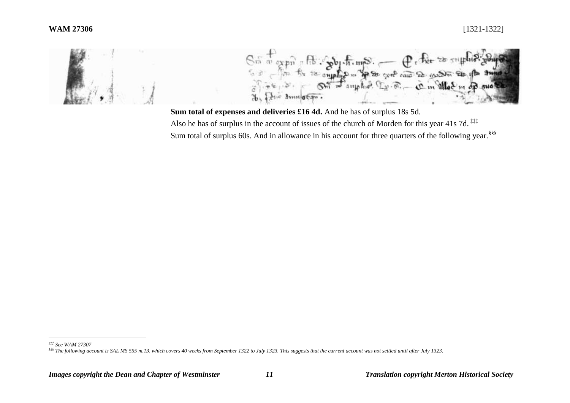

**Sum total of expenses and deliveries £16 4d.** And he has of surplus 18s 5d. Also he has of surplus in the account of issues of the church of Morden for this year 41s 7d. **‡‡‡** Sum total of surplus 60s. And in allowance in his account for three quarters of the following year.<sup>§§§</sup>

*<sup>‡‡‡</sup> See WAM 27307*

*<sup>§§§</sup> The following account is SAL MS 555 m.13, which covers 40 weeks from September 1322 to July 1323. This suggests that the current account was not settled until after July 1323.*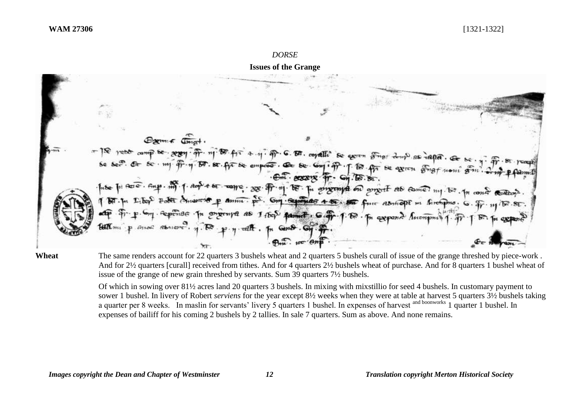#### *DORSE*

**Issues of the Grange**



## **Wheat** The same renders account for 22 quarters 3 bushels wheat and 2 quarters 5 bushels curall of issue of the grange threshed by piece-work. And for 2½ quarters [curall] received from tithes. And for 4 quarters 2½ bushels wheat of purchase. And for 8 quarters 1 bushel wheat of issue of the grange of new grain threshed by servants. Sum 39 quarters 7½ bushels.

Of which in sowing over 81½ acres land 20 quarters 3 bushels. In mixing with mixstillio for seed 4 bushels. In customary payment to sower 1 bushel. In livery of Robert *serviens* for the year except 8½ weeks when they were at table at harvest 5 quarters 3½ bushels taking a quarter per 8 weeks. In maslin for servants' livery 5 quarters 1 bushel. In expenses of harvest and boonworks 1 quarter 1 bushel. In expenses of bailiff for his coming 2 bushels by 2 tallies. In sale 7 quarters. Sum as above. And none remains.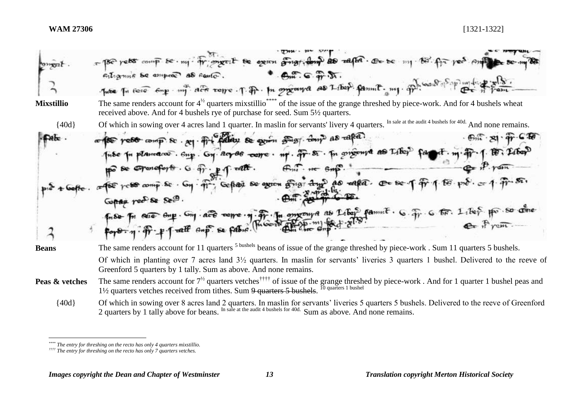| <b>OPPEL</b>      | 180 yets comp be my trimpert be exam gring to the realth co be my 180' for year on the se my 88<br>$\bullet$ $\theta_m$ $\circ$ $\theta_m$ $\pi$ .<br>Filigenne be empere as santo.<br>Two To fore for y my acts rome. T. Pr. In original as Liber. famme. my. prison of primiting                                                                                                                                                           |
|-------------------|----------------------------------------------------------------------------------------------------------------------------------------------------------------------------------------------------------------------------------------------------------------------------------------------------------------------------------------------------------------------------------------------------------------------------------------------|
| <b>Mixstillio</b> | The same renders account for $4^{1/2}$ quarters mixstillio <sup>****</sup> of the issue of the grange threshed by piece-work. And for 4 bushels wheat<br>received above. And for 4 bushels rye of purchase for seed. Sum 5 <sup>1/2</sup> quarters.                                                                                                                                                                                          |
| ${40d}$           | Of which in sowing over 4 acres land 1 quarter. In maslin for servants' livery 4 quarters. In sale at the audit 4 bushels for 40d. And none remains.                                                                                                                                                                                                                                                                                         |
|                   | $f(x) = g(x) - f(x)$<br>compte yest comp & sel for patien se exim songli comp as rafed.                                                                                                                                                                                                                                                                                                                                                      |
|                   | Tube In planners. Sup. Gy. Roy 86 come. my. Tr. St. In properte as Likes<br>$m + m + 1$ . $R$ , Liber<br>po se coponefort . G. or . p. q. tellt.<br>$f_{m1}$ . $H = 6m$ .<br>ce for yest comp se . Gy . fr; Gefter se exten grigt days as eared. Or se of fr 1. 18 pos<br>Gopan red Se See.<br>Finst Fin ever eine Ong act were in The Literature as Liber family . G. Fr. G for Liber pro so come<br>for 9- n . fr - p T ratt and se fabre. |
| <b>Beans</b>      | The same renders account for 11 quarters <sup>5</sup> bushels beans of issue of the grange threshed by piece-work. Sum 11 quarters 5 bushels.                                                                                                                                                                                                                                                                                                |
|                   | Of which in planting over 7 acres land 3 <sup>1/2</sup> quarters. In maslin for servants' liveries 3 quarters 1 bushel. Delivered to the reeve of<br>Greenford 5 quarters by 1 tally. Sum as above. And none remains.                                                                                                                                                                                                                        |
| Peas & vetches    | The same renders account for $7^{1/2}$ quarters vetches <sup>††††</sup> of issue of the grange threshed by piece-work. And for 1 quarter 1 bushel peas and<br>1/2 quarters vetches received from tithes. Sum 9 quarters 5 bushels. <sup>10 quarters 1 bushel</sup>                                                                                                                                                                           |
| ${40d}$           | Of which in sowing over 8 acres land 2 quarters. In maslin for servants' liveries 5 quarters 5 bushels. Delivered to the reeve of Greenford<br>2 quarters by 1 tally above for beans. In sale at the audit 4 bushels for 40d. Sum as above. And none remains.                                                                                                                                                                                |

*<sup>\*\*\*\*</sup> The entry for threshing on the recto has only 4 quarters mixstillio.*

*<sup>††††</sup> The entry for threshing on the recto has only 7 quarters vetches.*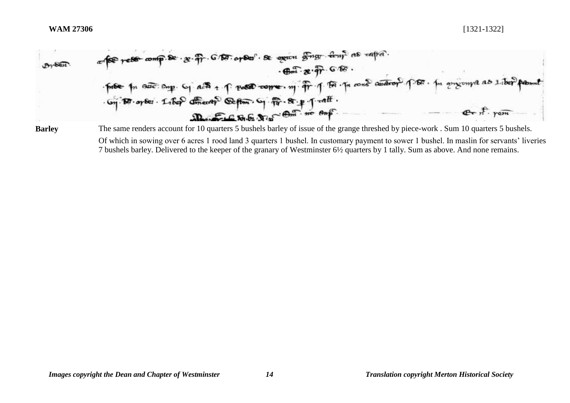

**Barley** The same renders account for 10 quarters 5 bushels barley of issue of the grange threshed by piece-work . Sum 10 quarters 5 bushels. Of which in sowing over 6 acres 1 rood land 3 quarters 1 bushel. In customary payment to sower 1 bushel. In maslin for servants' liveries 7 bushels barley. Delivered to the keeper of the granary of Westminster 6½ quarters by 1 tally. Sum as above. And none remains.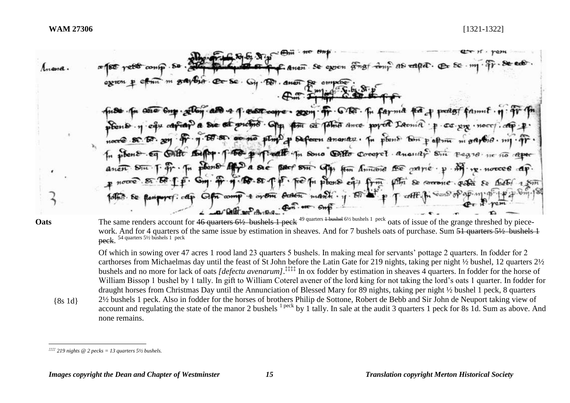$39.52.374$ evien anat  $A_{\mu \rho \nu}$  $\Omega$  $Ans<sub>1</sub>$ ma that product Post core.  $202<sup>m</sup>$ .  $6757$ famil the st Talent Ance ported Laoma p Seferen Ananau . In plant ton pattom and The Sono Office Cocoret Anosity  $Berf$ a se  $85<sub>H</sub>$ Hm Annand No  $\alpha$ *xtrie* ·  $\nu$ .  $m$  phone  $e\rightarrow$ Se forrone pota cett.  $comp.4$   $op.97$ better mann . 11 **Oats** The same renders account for 46 quarters 6½ bushels 1 peck <sup>49 quarters 1 bushel 6½ bushels 1 peck oats of issue of the grange threshed by piece-</sup> work. And for 4 quarters of the same issue by estimation in sheaves. And for 7 bushels oats of purchase. Sum 51 quarters 5½ bushels 1 **peck.** <sup>54</sup> quarters 5½ bushels 1 peck Of which in sowing over 47 acres 1 rood land 23 quarters 5 bushels. In making meal for servants' pottage 2 quarters. In fodder for 2 carthorses from Michaelmas day until the feast of St John before the Latin Gate for 219 nights, taking per night ½ bushel, 12 quarters 2½ bushels and no more for lack of oats *[defectu avenarum]*.<sup>‡‡‡‡</sup> In ox fodder by estimation in sheaves 4 quarters. In fodder for the horse of William Bissop 1 bushel by 1 tally. In gift to William Coterel avener of the lord king for not taking the lord's oats 1 quarter. In fodder for draught horses from Christmas Day until the Annunciation of Blessed Mary for 89 nights, taking per night ½ bushel 1 peck, 8 quarters 2½ bushels 1 peck. Also in fodder for the horses of brothers Philip de Sottone, Robert de Bebb and Sir John de Neuport taking view of {8s 1d} account and regulating the state of the manor 2 bushels <sup>1 peck</sup> by 1 tally. In sale at the audit 3 quarters 1 peck for 8s 1d. Sum as above. And none remains.

 $\overline{a}$  $\frac{1}{2}$  *‡* $\frac{1}{2}$  *19 nights* @ 2 *pecks* = 13 *quarters* 5<sup>1</sup>/<sub>2</sub> *bushels.*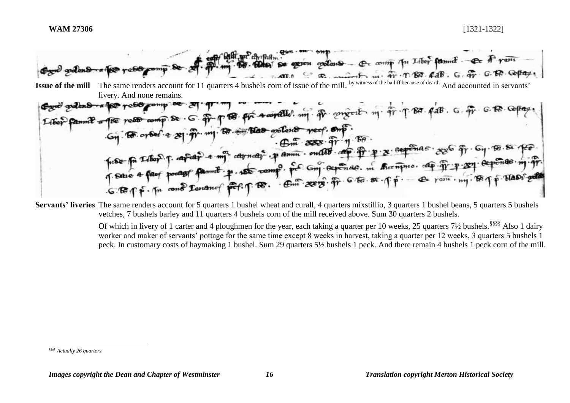

**Servants' liveries** The same renders account for 5 quarters 1 bushel wheat and curall, 4 quarters mixstillio, 3 quarters 1 bushel beans, 5 quarters 5 bushels vetches, 7 bushels barley and 11 quarters 4 bushels corn of the mill received above. Sum 30 quarters 2 bushels.

> Of which in livery of 1 carter and 4 ploughmen for the year, each taking a quarter per 10 weeks, 25 quarters 7½ bushels.<sup>§§§§</sup> Also 1 dairy worker and maker of servants' pottage for the same time except 8 weeks in harvest, taking a quarter per 12 weeks, 3 quarters 5 bushels 1 peck. In customary costs of haymaking 1 bushel. Sum 29 quarters 5½ bushels 1 peck. And there remain 4 bushels 1 peck corn of the mill.

 $\overline{a}$ *§§§§ Actually 26 quarters.*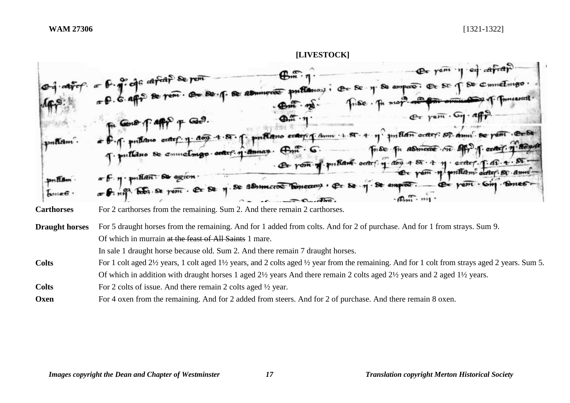

Of which in murrain at the feast of All Saints 1 mare.

In sale 1 draught horse because old. Sum 2. And there remain 7 draught horses.

- For 1 colt aged 2<sup>1/2</sup> years, 1 colt aged 1<sup>1</sup>/<sub>2</sub> years, and 2 colts aged <sup>1</sup>/<sub>2</sub> year from the remaining. And for 1 colt from strays aged 2 years. Sum 5. Of which in addition with draught horses 1 aged 2½ years And there remain 2 colts aged 2½ years and 2 aged 1½ years. **Colts** For 2 colts of issue. And there remain 2 colts aged <sup>1</sup>/<sub>2</sub> year.
- **Oxen** For 4 oxen from the remaining. And for 2 added from steers. And for 2 of purchase. And there remain 8 oxen.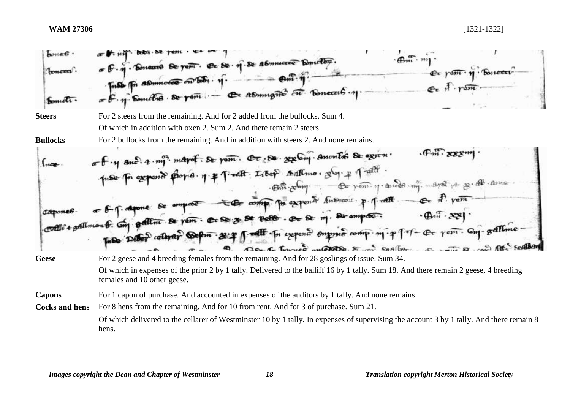| <b>BOYLE</b><br>toneed<br>bometti      | = F. M. Donard Se part. Ce Se. M. Se Abmucros Doncton.<br>Ex passi 19 Bonceri<br>Fiss Fri Administration of Solicity of the Context of the Concert of                                                                                                                                                                                                                                                                                                                                                                                                               |  |
|----------------------------------------|---------------------------------------------------------------------------------------------------------------------------------------------------------------------------------------------------------------------------------------------------------------------------------------------------------------------------------------------------------------------------------------------------------------------------------------------------------------------------------------------------------------------------------------------------------------------|--|
| <b>Steers</b><br><b>Bullocks</b>       | For 2 steers from the remaining. And for 2 added from the bullocks. Sum 4.<br>Of which in addition with oxen 2. Sum 2. And there remain 2 steers.<br>For 2 bullocks from the remaining. And in addition with steers 2. And none remains.                                                                                                                                                                                                                                                                                                                            |  |
|                                        | of y and a my major. Se passe. Or se regeling. Amonté de exira.<br>prote for expanse playes. n. * Timelt: Isoop Adlimo. $g(y)$ + Trelli.<br>· But colong. - Or possibly ander my mayor par go all assess<br>- 8-1-aquine de empres - Est comp. pr expert historie p. p. dit - en A. vem.<br>$-\bigoplus_{i=1}^n x_i^*$<br>contradition of compatibility of patting se paint. Cr Se y se recto. Or se my. Se employ.<br>Inde Didn't colleger Seption . 2017 Just In expend one comp. mip for- Or year. Com- gallime.<br>Can C Course metales & m soften or to me off |  |
| <b>Geese</b>                           | For 2 geese and 4 breeding females from the remaining. And for 28 goslings of issue. Sum 34.<br>Of which in expenses of the prior 2 by 1 tally. Delivered to the bailiff 16 by 1 tally. Sum 18. And there remain 2 geese, 4 breeding<br>females and 10 other geese.                                                                                                                                                                                                                                                                                                 |  |
| <b>Capons</b><br><b>Cocks and hens</b> | For 1 capon of purchase. And accounted in expenses of the auditors by 1 tally. And none remains.<br>For 8 hens from the remaining. And for 10 from rent. And for 3 of purchase. Sum 21.<br>Of which delivered to the cellarer of Westminster 10 by 1 tally. In expenses of supervising the account 3 by 1 tally. And there remain 8                                                                                                                                                                                                                                 |  |
|                                        | hens.                                                                                                                                                                                                                                                                                                                                                                                                                                                                                                                                                               |  |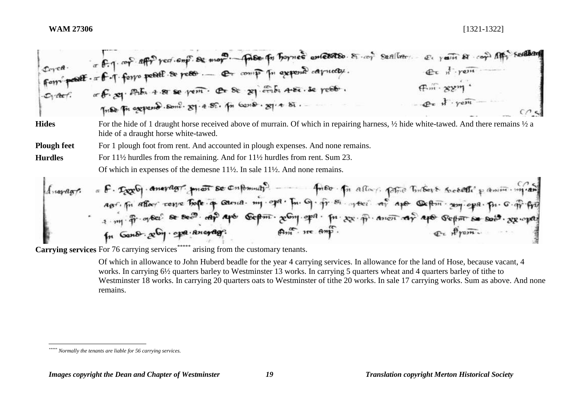| $\mathcal{L}_1$ there. | or F.J. cop. affr red. emp. Se mor. - Passe for hornes ences to. 81. cop Satillar.<br>Form post - = f - T form postil se poss  Et comp pu exposed carriedy.<br>or f. 29. Alba 4.81 se pem. Or Se 29. Enba 4.82. se pesto.<br>Triste Fri expense. Some. 81. 4.52. In Gense. 81. 4. 52.                                                                                                                            | El years & cop App Sealban<br>$Q_{c}$ $\pi$ $\gamma$ ern<br>$F_m$ $\rightarrow$ $ZZ$ <sup>n</sup><br>$Q_x$ $\frac{1}{2}$ $\frac{1}{2}$ $\frac{1}{2}$ |
|------------------------|------------------------------------------------------------------------------------------------------------------------------------------------------------------------------------------------------------------------------------------------------------------------------------------------------------------------------------------------------------------------------------------------------------------|------------------------------------------------------------------------------------------------------------------------------------------------------|
| <b>Hides</b>           | For the hide of 1 draught horse received above of murrain. Of which in repairing harness, $\frac{1}{2}$ hide white-tawed. And there remains $\frac{1}{2}$ a<br>hide of a draught horse white-tawed.                                                                                                                                                                                                              |                                                                                                                                                      |
| <b>Plough feet</b>     | For 1 plough foot from rent. And accounted in plough expenses. And none remains.                                                                                                                                                                                                                                                                                                                                 |                                                                                                                                                      |
| <b>Hurdles</b>         | For 11 <sup>1</sup> / <sub>2</sub> hurdles from the remaining. And for 11 <sup>1</sup> / <sub>2</sub> hurdles from rent. Sum 23.                                                                                                                                                                                                                                                                                 |                                                                                                                                                      |
|                        | Of which in expenses of the demesne $11\frac{1}{2}$ . In sale $11\frac{1}{2}$ . And none remains.                                                                                                                                                                                                                                                                                                                |                                                                                                                                                      |
| $map a \pi f.$         | - F. Deep aneragr. moi se cupumar. - - - Tues in alla para Tubert société passion m'an<br>apri fu afformance to the q carrier my open fun of fr simpler of aper confirm some open fun o fr fre<br>1. my fr. or ba? Se Bec ap apt Gepm. $x^{Gm}$ apa. fu $xx \cdot \widehat{n}$ anon ap apo Gepm se soit. $xy \cdot \widehat{px}$<br>$\mathfrak{g}_{m}$ . $n\in \mathfrak{g}_{m}$ .<br>In Gamb goby open anonage. | on Prom.                                                                                                                                             |

**Carrying services** For 76 carrying services<sup>\*\*\*\*\*</sup> arising from the customary tenants.

Of which in allowance to John Huberd beadle for the year 4 carrying services. In allowance for the land of Hose, because vacant, 4 works. In carrying 6½ quarters barley to Westminster 13 works. In carrying 5 quarters wheat and 4 quarters barley of tithe to Westminster 18 works. In carrying 20 quarters oats to Westminster of tithe 20 works. In sale 17 carrying works. Sum as above. And none remains.

*<sup>\*\*\*\*\*</sup> Normally the tenants are liable for 56 carrying services.*